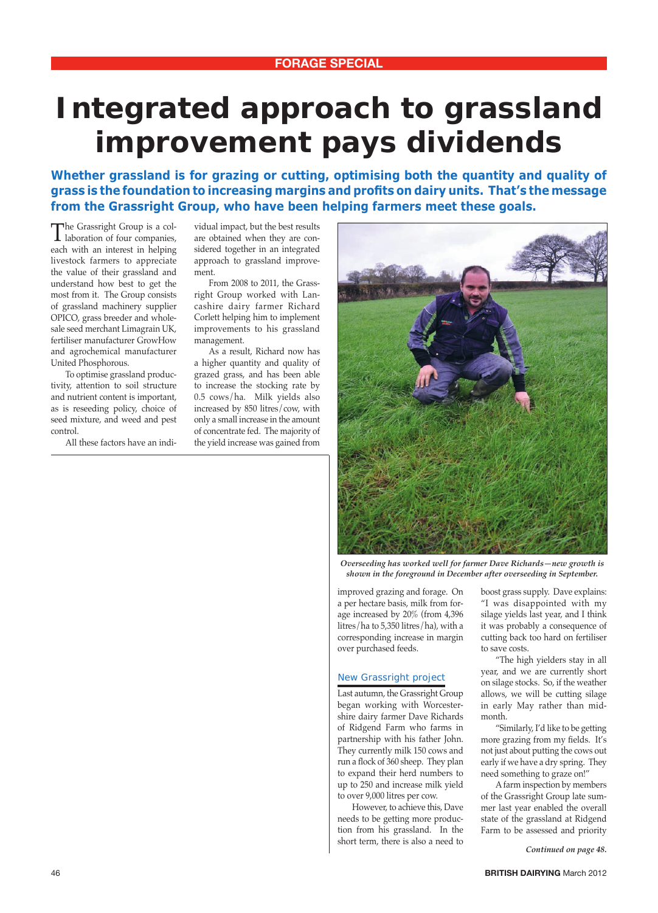# **Integrated approach to grassland improvement pays dividends**

**Whether grassland is for grazing or cutting, optimising both the quantity and quality of grass is the foundation to increasing margins and profits on dairy units. That's the message from the Grassright Group, who have been helping farmers meet these goals.**

The Grassright Group is a collaboration of four companies, each with an interest in helping livestock farmers to appreciate the value of their grassland and understand how best to get the most from it. The Group consists of grassland machinery supplier OPICO, grass breeder and wholesale seed merchant Limagrain UK, fertiliser manufacturer GrowHow and agrochemical manufacturer United Phosphorous.

 To optimise grassland productivity, attention to soil structure and nutrient content is important, as is reseeding policy, choice of seed mixture, and weed and pest control.

All these factors have an indi-

vidual impact, but the best results are obtained when they are considered together in an integrated approach to grassland improvement.

 From 2008 to 2011, the Grassright Group worked with Lancashire dairy farmer Richard Corlett helping him to implement improvements to his grassland management.

 As a result, Richard now has a higher quantity and quality of grazed grass, and has been able to increase the stocking rate by 0.5 cows/ha. Milk yields also increased by 850 litres/cow, with only a small increase in the amount of concentrate fed. The majority of the yield increase was gained from



*Overseeding has worked well for farmer Dave Richards—new growth is shown in the foreground in December after overseeding in September.*

improved grazing and forage. On a per hectare basis, milk from forage increased by 20% (from 4,396 litres/ha to 5,350 litres/ha), with a corresponding increase in margin over purchased feeds.

#### *New Grassright project*

Last autumn, the Grassright Group began working with Worcestershire dairy farmer Dave Richards of Ridgend Farm who farms in partnership with his father John. They currently milk 150 cows and run a flock of 360 sheep. They plan to expand their herd numbers to up to 250 and increase milk yield to over 9,000 litres per cow.

 However, to achieve this, Dave needs to be getting more production from his grassland. In the short term, there is also a need to boost grass supply. Dave explains: "I was disappointed with my silage yields last year, and I think it was probably a consequence of cutting back too hard on fertiliser to save costs.

 "The high yielders stay in all year, and we are currently short on silage stocks. So, if the weather allows, we will be cutting silage in early May rather than midmonth.

 "Similarly, I'd like to be getting more grazing from my fields. It's not just about putting the cows out early if we have a dry spring. They need something to graze on!"

 A farm inspection by members of the Grassright Group late summer last year enabled the overall state of the grassland at Ridgend Farm to be assessed and priority

*Continued on page 48.*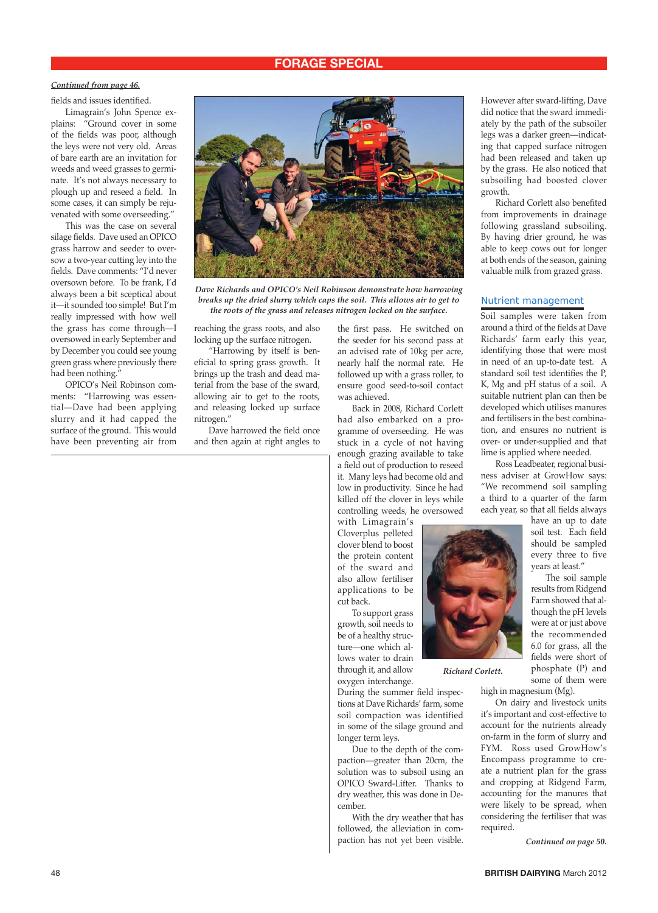# **ORAGE SPECIA**

## *Continued from page 46.*

fields and issues identified.

 Limagrain's John Spence explains: "Ground cover in some of the fields was poor, although the leys were not very old. Areas of bare earth are an invitation for weeds and weed grasses to germinate. It's not always necessary to plough up and reseed a field. In some cases, it can simply be rejuvenated with some overseeding."

 This was the case on several silage fields. Dave used an OPICO grass harrow and seeder to oversow a two-year cutting ley into the fields. Dave comments: "I'd never oversown before. To be frank, I'd always been a bit sceptical about it—it sounded too simple! But I'm really impressed with how well the grass has come through—I oversowed in early September and by December you could see young green grass where previously there had been nothing.

 OPICO's Neil Robinson comments: "Harrowing was essential—Dave had been applying slurry and it had capped the surface of the ground. This would have been preventing air from



*Dave Richards and OPICO's Neil Robinson demonstrate how harrowing breaks up the dried slurry which caps the soil. This allows air to get to the roots of the grass and releases nitrogen locked on the surface.*

reaching the grass roots, and also locking up the surface nitrogen.

 "Harrowing by itself is beneficial to spring grass growth. It brings up the trash and dead material from the base of the sward, allowing air to get to the roots, and releasing locked up surface nitrogen."

 Dave harrowed the field once and then again at right angles to the first pass. He switched on the seeder for his second pass at an advised rate of 10kg per acre, nearly half the normal rate. He followed up with a grass roller, to ensure good seed-to-soil contact was achieved.

 Back in 2008, Richard Corlett had also embarked on a programme of overseeding. He was stuck in a cycle of not having enough grazing available to take a field out of production to reseed it. Many leys had become old and low in productivity. Since he had killed off the clover in leys while controlling weeds, he oversowed

with Limagrain's Cloverplus pelleted clover blend to boost the protein content of the sward and also allow fertiliser applications to be cut back.

 To support grass growth, soil needs to be of a healthy structure—one which allows water to drain through it, and allow oxygen interchange.

During the summer field inspections at Dave Richards' farm, some soil compaction was identified in some of the silage ground and longer term leys.

 Due to the depth of the compaction—greater than 20cm, the solution was to subsoil using an OPICO Sward-Lifter. Thanks to dry weather, this was done in December.

 With the dry weather that has followed, the alleviation in compaction has not yet been visible.

However after sward-lifting, Dave did notice that the sward immediately by the path of the subsoiler legs was a darker green—indicating that capped surface nitrogen had been released and taken up by the grass. He also noticed that subsoiling had boosted clover growth.

 Richard Corlett also benefited from improvements in drainage following grassland subsoiling. By having drier ground, he was able to keep cows out for longer at both ends of the season, gaining valuable milk from grazed grass.

#### *Nutrient management*

Soil samples were taken from around a third of the fields at Dave Richards' farm early this year, identifying those that were most in need of an up-to-date test. A standard soil test identifies the P, K, Mg and pH status of a soil. A suitable nutrient plan can then be developed which utilises manures and fertilisers in the best combination, and ensures no nutrient is over- or under-supplied and that lime is applied where needed.

 Ross Leadbeater, regional business adviser at GrowHow says: "We recommend soil sampling a third to a quarter of the farm each year, so that all fields always

> have an up to date soil test. Each field should be sampled every three to five years at least."

> The soil sample results from Ridgend Farm showed that although the pH levels were at or just above the recommended 6.0 for grass, all the fields were short of phosphate (P) and some of them were

high in magnesium (Mg).

 On dairy and livestock units it's important and cost-effective to account for the nutrients already on-farm in the form of slurry and FYM. Ross used GrowHow's Encompass programme to create a nutrient plan for the grass and cropping at Ridgend Farm, accounting for the manures that were likely to be spread, when considering the fertiliser that was required.

*Continued on page 50.*

*Richard Corlett.*